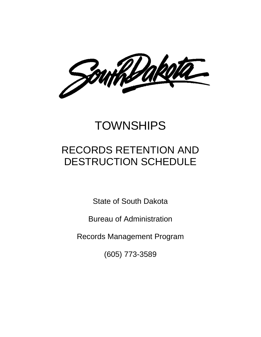Southbakell

# **TOWNSHIPS**

## RECORDS RETENTION AND DESTRUCTION SCHEDULE

State of South Dakota

Bureau of Administration

Records Management Program

(605) 773-3589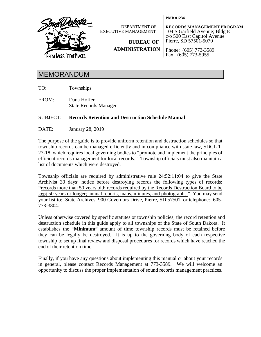

DEPARTMENT OF EXECUTIVE MANAGEMENT

**RECORDS MANAGEMENT PROGRAM** 104 S Garfield Avenue; Bldg E c/o 500 East Capitol Avenue Pierre, SD 57501-5070

**ADMINISTRATION**

**BUREAU OF**

Phone: (605) 773-3589 Fax: (605) 773-5955

**PMB 01234**

### MEMORANDUM

TO: Townships

FROM: Dana Hoffer State Records Manager

### SUBJECT: **Records Retention and Destruction Schedule Manual**

DATE: January 28, 2019

The purpose of the guide is to provide uniform retention and destruction schedules so that township records can be managed efficiently and in compliance with state law, SDCL 1- 27-18, which requires local governing bodies to "promote and implement the principles of efficient records management for local records." Township officials must also maintain a list of documents which were destroyed.

Township officials are required by administrative rule 24:52:11:04 to give the State Archivist 30 days' notice before destroying records the following types of records: **"**records more than 50 years old; records required by the Records Destruction Board to be kept 50 years or longer; annual reports, maps, minutes, and photographs."You may send your list to: State Archives, 900 Governors Drive, Pierre, SD 57501, or telephone: 605- 773-3804.

Unless otherwise covered by specific statutes or township policies, the record retention and destruction schedule in this guide apply to all townships of the State of South Dakota. It establishes the "**Minimum**" amount of time township records must be retained before they can be legally be destroyed. It is up to the governing body of each respective township to set up final review and disposal procedures for records which have reached the end of their retention time.

Finally, if you have any questions about implementing this manual or about your records in general, please contact Records Management at 773-3589. We will welcome an opportunity to discuss the proper implementation of sound records management practices.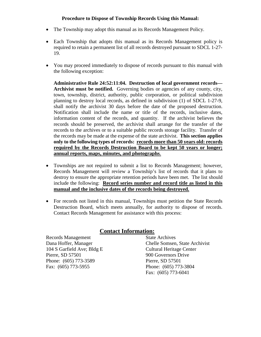### **Procedure to Dispose of Township Records Using this Manual:**

- The Township may adopt this manual as its Records Management Policy.
- Each Township that adopts this manual as its Records Management policy is required to retain a permanent list of all records destroyed pursuant to SDCL 1-27- 19.
- You may proceed immediately to dispose of records pursuant to this manual with the following exception:

**Administrative Rule 24:52:11:04. Destruction of local government records— Archivist must be notified.** Governing bodies or agencies of any county, city, town, township, district, authority, public corporation, or political subdivision planning to destroy local records, as defined in subdivision (1) of SDCL 1-27-9, shall notify the archivist 30 days before the date of the proposed destruction. Notification shall include the name or title of the records, inclusive dates, information content of the records, and quantity. If the archivist believes the records should be preserved, the archivist shall arrange for the transfer of the records to the archives or to a suitable public records storage facility. Transfer of the records may be made at the expense of the state archivist. **This section applies only to the following types of records: records more than 50 years old: records required by the Records Destruction Board to be kept 50 years or longer; annual reports, maps, minutes, and photographs**.

- Townships are not required to submit a list to Records Management; however, Records Management will review a Township's list of records that it plans to destroy to ensure the appropriate retention periods have been met. The list should include the following: **Record series number and record title as listed in this manual and the inclusive dates of the records being destroyed.**
- For records not listed in this manual, Townships must petition the State Records Destruction Board, which meets annually, for authority to dispose of records. Contact Records Management for assistance with this process:

### **Contact Information:**

Records Management State Archives 104 S Garfield Ave; Bldg E Cultural Heritage Center Pierre, SD 57501 900 Governors Drive Phone: (605) 773-3589 Pierre, SD 57501 Fax: (605) 773-5955 Phone: (605) 773-3804

Dana Hoffer, Manager Chelle Somsen, State Archivist Fax: (605) 773-6041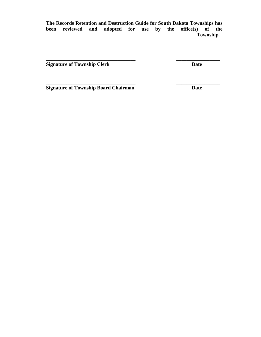**\_\_\_\_\_\_\_\_\_\_\_\_\_\_\_\_\_\_\_\_\_\_\_\_\_\_\_\_\_\_\_\_\_\_\_ \_\_\_\_\_\_\_\_\_\_\_\_\_\_\_\_\_**

**\_\_\_\_\_\_\_\_\_\_\_\_\_\_\_\_\_\_\_\_\_\_\_\_\_\_\_\_\_\_\_\_\_\_\_ \_\_\_\_\_\_\_\_\_\_\_\_\_\_\_\_\_**

**Signature of Township Clerk Date** 

**Signature of Township Board Chairman Date**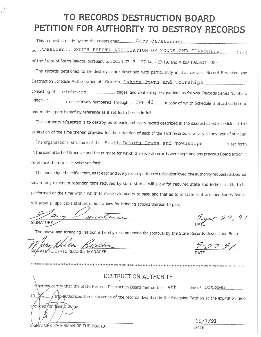## TO RECORDS DESTRUCTION BOARD PETITION FOR AUTHORITY TO DESTROY RECORDS

This request is made by the the undersigned\_\_\_\_\_\_\_\_ Gary Carstensen

as President, SOUTH DAKOTA ASSOCIATION OF TOWNS AND TOWNSHIPS  $_{-}$ (title)

of the State of South Dakota, pursuant to SDCL 1-27-13, 1-27-14, 1-27-19, and ARSD 10:03:01 - 02.

The records petitioned to be destroyed are described with particularity in that certain "Record Retention and Destruction Schedule Authorization of South Dakota Towns and Townships consisting of eighteen pages, and containing designations as follows: Records Series Numbers (consecutively numbered) through  $TWP-42$ , a copy of which Schedule is attached hereto. and made a part hereof by reference as if set forth herein in full.

The authority requested is to destroy, as to each and every record described in the said attached Schedule, at the expiration of the time therein provided for the retention of each of the said records, severally, in any type of storage.

The organizational structure of the South Dakota Towns and Townships is set forth in the said attached Schedule and the purpose for which the several records were kept and any previous Board action in reference thereto is likewise set forth.

The undersigned certifies that, as to each and every record petitioned to be destroyed, the authority requested does not violate any minimum retention time required by state statue: will allow for required state and federal audits to be performed or the time within which to make said audits to pass; and that as to all state contracts and Surety Bonds, will allow all applicable statues of limitations for bringing actions thereon to pass.

SIGNATURE

 $9/24727,9/$ 

The above and foregoing Petition is hereby recommended for approval by the State Records Destruction Board.

*VATOR ALLLA BLOOD* 

 $\circ$ 

DESTRUCTION AUTHORITY I) hereby certify that the State Records Destruction Board met on the 4th day of October and article the destruction of the records described in the foregoing Petition at the expiration time 19. provided for their storage.

SIGMATURE, CHAIRMAN OF THE BOARD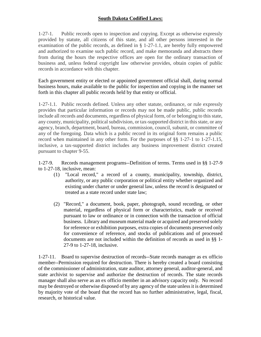### **South Dakota Codified Laws:**

1-27-1. Public records open to inspection and copying. Except as otherwise expressly provided by statute, all citizens of this state, and all other persons interested in the examination of the public records, as defined in § 1-27-1.1, are hereby fully empowered and authorized to examine such public record, and make memoranda and abstracts there from during the hours the respective offices are open for the ordinary transaction of business and, unless federal copyright law otherwise provides, obtain copies of public records in accordance with this chapter.

Each government entity or elected or appointed government official shall, during normal business hours, make available to the public for inspection and copying in the manner set forth in this chapter all public records held by that entity or official.

1-27-1.1. Public records defined. Unless any other statute, ordinance, or rule expressly provides that particular information or records may not be made public, public records include all records and documents, regardless of physical form, of or belonging to this state, any county, municipality, political subdivision, or tax-supported district in this state, or any agency, branch, department, board, bureau, commission, council, subunit, or committee of any of the foregoing. Data which is a public record in its original form remains a public record when maintained in any other form. For the purposes of §§ 1-27-1 to 1-27-1.15, inclusive, a tax-supported district includes any business improvement district created pursuant to chapter 9-55.

1-27-9. Records management programs--Definition of terms. Terms used in §§ 1-27-9 to 1-27-18, inclusive, mean:

- (1) "Local record," a record of a county, municipality, township, district, authority, or any public corporation or political entity whether organized and existing under charter or under general law, unless the record is designated or treated as a state record under state law;
- (2) "Record," a document, book, paper, photograph, sound recording, or other material, regardless of physical form or characteristics, made or received pursuant to law or ordinance or in connection with the transaction of official business. Library and museum material made or acquired and preserved solely for reference or exhibition purposes, extra copies of documents preserved only for convenience of reference, and stocks of publications and of processed documents are not included within the definition of records as used in §§ 1- 27-9 to 1-27-18, inclusive.

1-27-11. Board to supervise destruction of records--State records manager as ex officio member--Permission required for destruction. There is hereby created a board consisting of the commissioner of administration, state auditor, attorney general, auditor-general, and state archivist to supervise and authorize the destruction of records. The state records manager shall also serve as an ex officio member in an advisory capacity only. No record may be destroyed or otherwise disposed of by any agency of the state unless it is determined by majority vote of the board that the record has no further administrative, legal, fiscal, research, or historical value.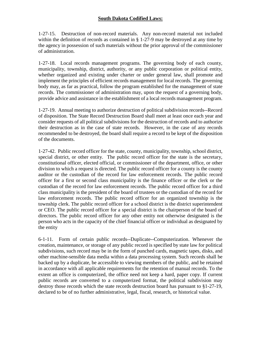### **South Dakota Codified Laws:**

1-27-15. Destruction of non-record materials. Any non-record material not included within the definition of records as contained in § 1-27-9 may be destroyed at any time by the agency in possession of such materials without the prior approval of the commissioner of administration.

1-27-18. Local records management programs. The governing body of each county, municipality, township, district, authority, or any public corporation or political entity, whether organized and existing under charter or under general law, shall promote and implement the principles of efficient records management for local records. The governing body may, as far as practical, follow the program established for the management of state records. The commissioner of administration may, upon the request of a governing body, provide advice and assistance in the establishment of a local records management program.

1-27-19. Annual meeting to authorize destruction of political subdivision records--Record of disposition. The State Record Destruction Board shall meet at least once each year and consider requests of all political subdivisions for the destruction of records and to authorize their destruction as in the case of state records. However, in the case of any records recommended to be destroyed, the board shall require a record to be kept of the disposition of the documents.

1-27-42. Public record officer for the state, county, municipality, township, school district, special district, or other entity. The public record officer for the state is the secretary, constitutional officer, elected official, or commissioner of the department, office, or other division to which a request is directed. The public record officer for a county is the county auditor or the custodian of the record for law enforcement records. The public record officer for a first or second class municipality is the finance officer or the clerk or the custodian of the record for law enforcement records. The public record officer for a third class municipality is the president of the board of trustees or the custodian of the record for law enforcement records. The public record officer for an organized township is the township clerk. The public record officer for a school district is the district superintendent or CEO. The public record officer for a special district is the chairperson of the board of directors. The public record officer for any other entity not otherwise designated is the person who acts in the capacity of the chief financial officer or individual as designated by the entity

6-1-11. Form of certain public records--Duplicate--Computerization. Whenever the creation, maintenance, or storage of any public record is specified by state law for political subdivisions, such record may be in the form of punched cards, magnetic tapes, disks, and other machine-sensible data media within a data processing system. Such records shall be backed up by a duplicate, be accessible to viewing members of the public, and be retained in accordance with all applicable requirements for the retention of manual records. To the extent an office is computerized, the office need not keep a hard, paper copy. If current public records are converted to a computerized format, the political subdivision may destroy those records which the state records destruction board has pursuant to §1-27-19, declared to be of no further administrative, legal, fiscal, research, or historical value.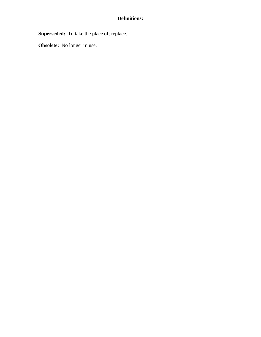### **Definitions:**

**Superseded:** To take the place of; replace.

**Obsolete:** No longer in use.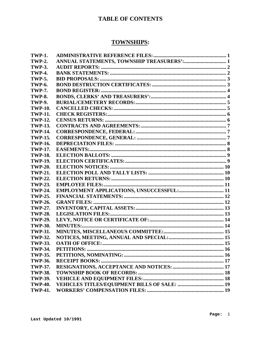### **TABLE OF CONTENTS**

### **TOWNSHIPS:**

| <b>TWP-1.</b>  |                    |
|----------------|--------------------|
| <b>TWP-2.</b>  |                    |
| <b>TWP-3.</b>  |                    |
| <b>TWP-4.</b>  |                    |
| <b>TWP-5.</b>  |                    |
| <b>TWP-6.</b>  |                    |
| <b>TWP-7.</b>  |                    |
| <b>TWP-8.</b>  |                    |
| <b>TWP-9.</b>  |                    |
| <b>TWP-10.</b> |                    |
| <b>TWP-11.</b> |                    |
| <b>TWP-12.</b> |                    |
| <b>TWP-13.</b> |                    |
| <b>TWP-14.</b> |                    |
| <b>TWP-15.</b> |                    |
| <b>TWP-16.</b> |                    |
| <b>TWP-17.</b> |                    |
| <b>TWP-18.</b> |                    |
| <b>TWP-19.</b> |                    |
| <b>TWP-20.</b> |                    |
| <b>TWP-21.</b> |                    |
| <b>TWP-22.</b> |                    |
| <b>TWP-23.</b> |                    |
| <b>TWP-24.</b> |                    |
| <b>TWP-25.</b> |                    |
| <b>TWP-26.</b> |                    |
| <b>TWP-27.</b> |                    |
| <b>TWP-28.</b> |                    |
| <b>TWP-29.</b> |                    |
| <b>TWP-30.</b> | <b>MINUTES:</b>    |
| <b>TWP-31.</b> |                    |
| <b>TWP-32.</b> |                    |
| <b>TWP-33.</b> |                    |
| <b>TWP-34.</b> | <b>PETITIONS:.</b> |
| <b>TWP-35.</b> |                    |
| <b>TWP-36.</b> |                    |
| <b>TWP-37.</b> |                    |
| <b>TWP-38.</b> |                    |
| <b>TWP-39.</b> |                    |
| <b>TWP-40.</b> |                    |
| <b>TWP-41.</b> |                    |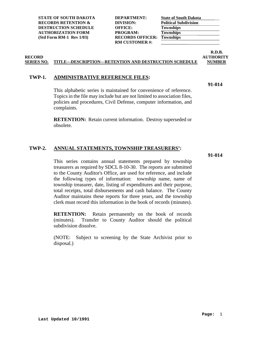**STATE OF SOUTH DAKOTA RECORDS RETENTION & DESTRUCTION SCHEDULE OFFICE: OFFICE: OFFICE: TOWERFICE: TOWERFICE: TOWERFICE: AUTHORIZATION FORM (Std Form RM-1 Rev 1/03)** 

| DEPARTMENT:             | S |
|-------------------------|---|
| DIVISION:               | Р |
| OFFICE:                 | Ί |
| <b>PROGRAM:</b>         | Ί |
| <b>RECORDS OFFICER:</b> | Ί |
| <b>RM CUSTOMER #:</b>   |   |
|                         |   |

| <b>State of South Dakota</b> |  |
|------------------------------|--|
| <b>Political Subdivision</b> |  |
| <b>Townships</b>             |  |
| <b>Townships</b>             |  |
| <b>Townships</b>             |  |
|                              |  |

### **R.D.B. RECORD AUTHORITY**

### **SERIES NO. TITLE---DESCRIPTION---RETENTION AND DESTRUCTION SCHEDULE NUMBER**

### <span id="page-9-0"></span>**TWP-1. ADMINISTRATIVE REFERENCE FILES:**

**91-014**

This alphabetic series is maintained for convenience of reference. Topics in the file may include but are not limited to association files, policies and procedures, Civil Defense, computer information, and complaints.

**RETENTION:** Retain current information. Destroy superseded or obsolete.

### <span id="page-9-1"></span>**TWP-2. ANNUAL STATEMENTS, TOWNSHIP TREASURERS':**

**91-014**

This series contains annual statements prepared by township treasurers as required by SDCL 8-10-30. The reports are submitted to the County Auditor's Office, are used for reference, and include the following types of information: township name, name of township treasurer, date, listing of expenditures and their purpose, total receipts, total disbursements and cash balance. The County Auditor maintains these reports for three years, and the township clerk must record this information in the book of records (minutes).

**RETENTION:** Retain permanently on the book of records (minutes). Transfer to County Auditor should the political subdivision dissolve.

(NOTE: Subject to screening by the State Archivist prior to disposal.)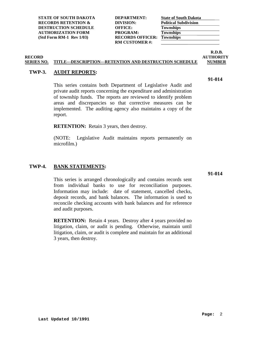| DEPARTMENT:             |
|-------------------------|
| DIVISION:               |
| <b>OFFICE:</b>          |
| PROGRAM:                |
| <b>RECORDS OFFICER:</b> |
| <b>RM CUSTOMER#:</b>    |
|                         |

| <b>State of South Dakota</b> |  |
|------------------------------|--|
| <b>Political Subdivision</b> |  |
| <b>Townships</b>             |  |
| <b>Townships</b>             |  |
| <b>Townships</b>             |  |

### **R.D.B.<br>AUTHORITY RECORD AUTHORITY**

#### **SERIES NO. TITLE---DESCRIPTION---RETENTION AND DESTRUCTION SCHEDULE NUMBER**

### <span id="page-10-0"></span>**TWP-3. AUDIT REPORTS:**

This series contains both Department of Legislative Audit and private audit reports concerning the expenditure and administration of township funds. The reports are reviewed to identify problem areas and discrepancies so that corrective measures can be implemented. The auditing agency also maintains a copy of the report.

**RETENTION:** Retain 3 years, then destroy.

(NOTE: Legislative Audit maintains reports permanently on microfilm.)

### <span id="page-10-1"></span>**TWP-4. BANK STATEMENTS:**

This series is arranged chronologically and contains records sent from individual banks to use for reconciliation purposes. Information may include: date of statement, cancelled checks, deposit records, and bank balances. The information is used to reconcile checking accounts with bank balances and for reference and audit purposes.

**RETENTION:** Retain 4 years. Destroy after 4 years provided no litigation, claim, or audit is pending. Otherwise, maintain until litigation, claim, or audit is complete and maintain for an additional 3 years, then destroy.

**91-014**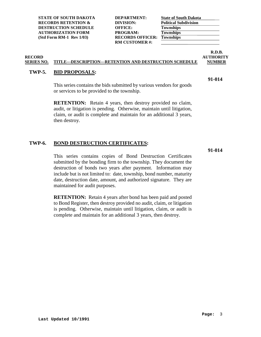| <b>DEPARTMENT:</b>      |
|-------------------------|
| DIVISION:               |
| <b>OFFICE:</b>          |
| PROGRAM:                |
| <b>RECORDS OFFICER:</b> |
| <b>RM CUSTOMER#:</b>    |
|                         |

| <b>State of South Dakota</b> |  |
|------------------------------|--|
| <b>Political Subdivision</b> |  |
| <b>Townships</b>             |  |
| <b>Townships</b>             |  |
| <b>Townships</b>             |  |

### **R.D.B.<br>AUTHORITY RECORD AUTHORITY**

**91-014**

#### **SERIES NO. TITLE---DESCRIPTION---RETENTION AND DESTRUCTION SCHEDULE NUMBER**

### <span id="page-11-0"></span>**TWP-5. BID PROPOSALS:**

This series contains the bids submitted by various vendors for goods or services to be provided to the township.

**RETENTION:** Retain 4 years, then destroy provided no claim, audit, or litigation is pending. Otherwise, maintain until litigation, claim, or audit is complete and maintain for an additional 3 years, then destroy.

### <span id="page-11-1"></span>**TWP-6. BOND DESTRUCTION CERTIFICATES:**

**91-014**

This series contains copies of Bond Destruction Certificates submitted by the bonding firm to the township. They document the destruction of bonds two years after payment. Information may include but is not limited to: date, township, bond number, maturity date, destruction date, amount, and authorized signature. They are maintained for audit purposes.

**RETENTION:** Retain 4 years after bond has been paid and posted to Bond Register, then destroy provided no audit, claim, or litigation is pending. Otherwise, maintain until litigation, claim, or audit is complete and maintain for an additional 3 years, then destroy.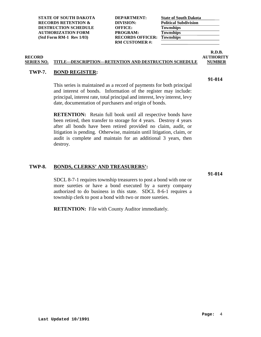| <b>DEPARTMENT:</b>      |
|-------------------------|
| DIVISION:               |
| OFFICE:                 |
| PROGRAM:                |
| <b>RECORDS OFFICER:</b> |
| <b>RM CUSTOMER#:</b>    |
|                         |

| <b>State of South Dakota</b> |  |
|------------------------------|--|
| <b>Political Subdivision</b> |  |
| <b>Townships</b>             |  |
| <b>Townships</b>             |  |
| <b>Townships</b>             |  |

### **R.D.B. RECORD AUTHORITY**

### **SERIES NO. TITLE---DESCRIPTION---RETENTION AND DESTRUCTION SCHEDULE NUMBER**

### <span id="page-12-0"></span>**TWP-7. BOND REGISTER:**

This series is maintained as a record of payments for both principal and interest of bonds. Information of the register may include: principal, interest rate, total principal and interest, levy interest, levy date, documentation of purchasers and origin of bonds.

**RETENTION:** Retain full book until all respective bonds have been retired, then transfer to storage for 4 years. Destroy 4 years after all bonds have been retired provided no claim, audit, or litigation is pending. Otherwise, maintain until litigation, claim, or audit is complete and maintain for an additional 3 years, then destroy.

### <span id="page-12-1"></span>**TWP-8. BONDS, CLERKS' AND TREASURERS':**

**91-014**

SDCL 8-7-1 requires township treasurers to post a bond with one or more sureties or have a bond executed by a surety company authorized to do business in this state. SDCL 8-6-1 requires a township clerk to post a bond with two or more sureties.

**RETENTION:** File with County Auditor immediately.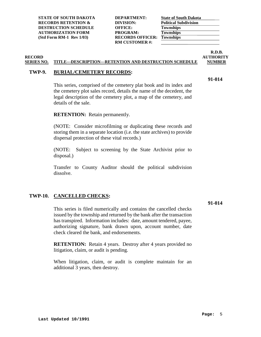| <b>DEPARTMENT:</b>      |
|-------------------------|
| DIVISION:               |
| <b>OFFICE:</b>          |
| PROGRAM:                |
| <b>RECORDS OFFICER:</b> |
| <b>RM CUSTOMER#:</b>    |
|                         |

| <b>State of South Dakota</b> |
|------------------------------|
| <b>Political Subdivision</b> |
|                              |
|                              |
|                              |
|                              |

### **R.D.B.<br>AUTHORITY RECORD AUTHORITY**

#### **SERIES NO. TITLE---DESCRIPTION---RETENTION AND DESTRUCTION SCHEDULE NUMBER**

### <span id="page-13-0"></span>**TWP-9. BURIAL/CEMETERY RECORDS:**

**91-014**

This series, comprised of the cemetery plat book and its index and the cemetery plot sales record, details the name of the decedent, the legal description of the cemetery plot, a map of the cemetery, and details of the sale.

**RETENTION:** Retain permanently.

(NOTE: Consider microfilming or duplicating these records and storing them in a separate location (i.e. the state archives) to provide dispersal protection of these vital records.)

(NOTE: Subject to screening by the State Archivist prior to disposal.)

Transfer to County Auditor should the political subdivision dissolve.

### <span id="page-13-1"></span>**TWP-10. CANCELLED CHECKS:**

**91-014**

This series is filed numerically and contains the cancelled checks issued by the township and returned by the bank after the transaction has transpired. Information includes: date, amount tendered, payee, authorizing signature, bank drawn upon, account number, date check cleared the bank, and endorsements.

**RETENTION:** Retain 4 years. Destroy after 4 years provided no litigation, claim, or audit is pending.

When litigation, claim, or audit is complete maintain for an additional 3 years, then destroy.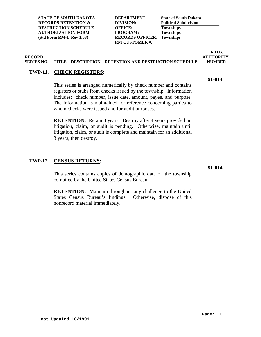| <b>DEPARTMENT:</b>     |
|------------------------|
| DIVISION:              |
| <b>OFFICE:</b>         |
| PROGRAM:               |
| <b>RECORDS OFFICER</b> |
| <b>RM CUSTOMER#:</b>   |
|                        |

| <b>State of South Dakota</b> |  |
|------------------------------|--|
| <b>Political Subdivision</b> |  |
| <b>Townships</b>             |  |
| <b>Townships</b>             |  |
| <b>Townships</b>             |  |

### **R.D.B.<br>AUTHORITY RECORD AUTHORITY**

**91-014**

#### **SERIES NO. TITLE---DESCRIPTION---RETENTION AND DESTRUCTION SCHEDULE NUMBER**

### <span id="page-14-0"></span>**TWP-11. CHECK REGISTERS:**

This series is arranged numerically by check number and contains registers or stubs from checks issued by the township. Information includes: check number, issue date, amount, payee, and purpose. The information is maintained for reference concerning parties to whom checks were issued and for audit purposes.

**RETENTION:** Retain 4 years. Destroy after 4 years provided no litigation, claim, or audit is pending. Otherwise, maintain until litigation, claim, or audit is complete and maintain for an additional 3 years, then destroy.

### <span id="page-14-1"></span>**TWP-12. CENSUS RETURNS:**

This series contains copies of demographic data on the township compiled by the United States Census Bureau.

**RETENTION:** Maintain throughout any challenge to the United States Census Bureau's findings. Otherwise, dispose of this nonrecord material immediately.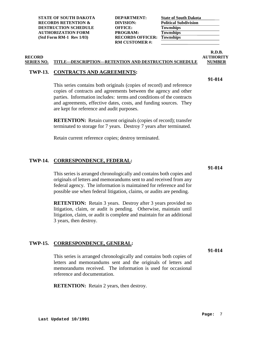| <b>DEPARTMENT:</b>      |
|-------------------------|
| DIVISION:               |
| OFFICE:                 |
| PROGRAM:                |
| <b>RECORDS OFFICER:</b> |
| <b>RM CUSTOMER#:</b>    |
|                         |

|                              | <b>State of South Dakota</b> |
|------------------------------|------------------------------|
| <b>Political Subdivision</b> |                              |
| <b>Townships</b>             |                              |
| <b>Townships</b>             |                              |
| <b>Townships</b>             |                              |

### **R.D.B. RECORD AUTHORITY**

## **SERIES NO. TITLE---DESCRIPTION---RETENTION AND DESTRUCTION SCHEDULE NUMBER**

### <span id="page-15-0"></span>**TWP-13. CONTRACTS AND AGREEMENTS:**

This series contains both originals (copies of record) and reference copies of contracts and agreements between the agency and other parties. Information includes: terms and conditions of the contracts and agreements, effective dates, costs, and funding sources. They are kept for reference and audit purposes.

**RETENTION:** Retain current originals (copies of record); transfer terminated to storage for 7 years. Destroy 7 years after terminated.

Retain current reference copies; destroy terminated.

### <span id="page-15-1"></span>**TWP-14. CORRESPONDENCE, FEDERAL:**

This series is arranged chronologically and contains both copies and originals of letters and memorandums sent to and received from any federal agency. The information is maintained for reference and for possible use when federal litigation, claims, or audits are pending.

**RETENTION:** Retain 3 years. Destroy after 3 years provided no litigation, claim, or audit is pending. Otherwise, maintain until litigation, claim, or audit is complete and maintain for an additional 3 years, then destroy.

### <span id="page-15-2"></span>**TWP-15. CORRESPONDENCE, GENERAL:**

**91-014**

This series is arranged chronologically and contains both copies of letters and memorandums sent and the originals of letters and memorandums received. The information is used for occasional reference and documentation.

**RETENTION:** Retain 2 years, then destroy.

**91-014**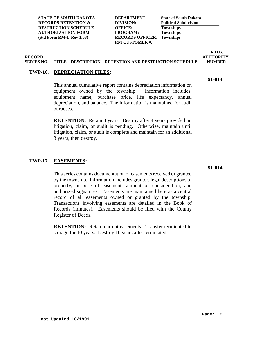| DEPARTMENT:            |
|------------------------|
| DIVISION:              |
| OFFICE:                |
| PROGRAM:               |
| <b>RECORDS OFFICER</b> |
| <b>RM CUSTOMER#:</b>   |
|                        |

| <b>State of South Dakota</b> |  |
|------------------------------|--|
| <b>Political Subdivision</b> |  |
| <b>Townships</b>             |  |
| <b>Townships</b>             |  |
| <b>Townships</b>             |  |

### **R.D.B.<br>AUTHORITY RECORD AUTHORITY**

**91-014**

#### **SERIES NO. TITLE---DESCRIPTION---RETENTION AND DESTRUCTION SCHEDULE NUMBER**

#### <span id="page-16-0"></span>**TWP-16. DEPRECIATION FILES:**

This annual cumulative report contains depreciation information on equipment owned by the township. Information includes: equipment name, purchase price, life expectancy, annual depreciation, and balance. The information is maintained for audit purposes.

**RETENTION:** Retain 4 years. Destroy after 4 years provided no litigation, claim, or audit is pending. Otherwise, maintain until litigation, claim, or audit is complete and maintain for an additional 3 years, then destroy.

#### <span id="page-16-1"></span>**TWP-17. EASEMENTS:**

This series contains documentation of easements received or granted by the township. Information includes grantor, legal descriptions of property, purpose of easement, amount of consideration, and authorized signatures. Easements are maintained here as a central record of all easements owned or granted by the township. Transactions involving easements are detailed in the Book of Records (minutes). Easements should be filed with the County Register of Deeds.

**RETENTION:** Retain current easements. Transfer terminated to storage for 10 years. Destroy 10 years after terminated.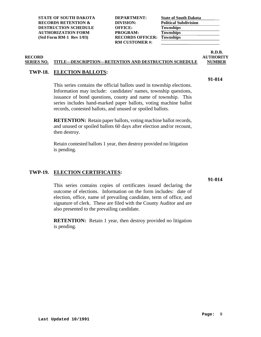| <b>DEPARTMENT:</b>     |
|------------------------|
| DIVISION:              |
| <b>OFFICE:</b>         |
| PROGRAM:               |
| <b>RECORDS OFFICER</b> |
| <b>RM CUSTOMER#:</b>   |
|                        |

| <b>State of South Dakota</b> |  |
|------------------------------|--|
| <b>Political Subdivision</b> |  |
| <b>Townships</b>             |  |
| <b>Townships</b>             |  |
| <b>Townships</b>             |  |

### **R.D.B.<br>AUTHORITY RECORD AUTHORITY**

**91-014**

#### **SERIES NO. TITLE---DESCRIPTION---RETENTION AND DESTRUCTION SCHEDULE NUMBER**

### <span id="page-17-0"></span>**TWP-18. ELECTION BALLOTS:**

This series contains the official ballots used in township elections. Information may include: candidates' names, township questions, issuance of bond questions, county and name of township. This series includes hand-marked paper ballots, voting machine ballot records, contested ballots, and unused or spoiled ballots.

**RETENTION:** Retain paper ballots, voting machine ballot records, and unused or spoiled ballots 60 days after election and/or recount, then destroy.

Retain contested ballots 1 year, then destroy provided no litigation is pending.

### <span id="page-17-1"></span>**TWP-19. ELECTION CERTIFICATES:**

**91-014**

This series contains copies of certificates issued declaring the outcome of elections. Information on the form includes: date of election, office, name of prevailing candidate, term of office, and signature of clerk. These are filed with the County Auditor and are also presented to the prevailing candidate.

**RETENTION:** Retain 1 year, then destroy provided no litigation is pending.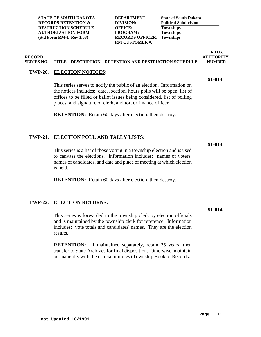| <b>DEPARTMENT:</b>      |
|-------------------------|
| DIVISION:               |
| <b>OFFICE:</b>          |
| PROGRAM:                |
| <b>RECORDS OFFICER:</b> |
| <b>RM CUSTOMER #:</b>   |
|                         |

| <b>State of South Dakota</b> |  |
|------------------------------|--|
| <b>Political Subdivision</b> |  |
| <b>Townships</b>             |  |
| <b>Townships</b>             |  |
| <b>Townships</b>             |  |

### **R.D.B. RECORD AUTHORITY**

**91-014**

### **SERIES NO. TITLE---DESCRIPTION---RETENTION AND DESTRUCTION SCHEDULE NUMBER**

### <span id="page-18-0"></span>**TWP-20. ELECTION NOTICES:**

This series serves to notify the public of an election. Information on the notices includes: date, location, hours polls will be open, list of offices to be filled or ballot issues being considered, list of polling places, and signature of clerk, auditor, or finance officer.

**RETENTION:** Retain 60 days after election, then destroy.

### <span id="page-18-1"></span>**TWP-21. ELECTION POLL AND TALLY LISTS:**

**91-014**

This series is a list of those voting in a township election and is used to canvass the elections. Information includes: names of voters, names of candidates, and date and place of meeting at which election is held.

**RETENTION:** Retain 60 days after election, then destroy.

### <span id="page-18-2"></span>**TWP-22. ELECTION RETURNS:**

This series is forwarded to the township clerk by election officials and is maintained by the township clerk for reference. Information includes: vote totals and candidates' names. They are the election results.

**RETENTION:** If maintained separately, retain 25 years, then transfer to State Archives for final disposition. Otherwise, maintain permanently with the official minutes (Township Book of Records.)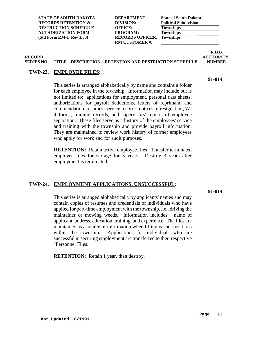| DEPARTMENT:            |
|------------------------|
| DIVISION:              |
| <b>OFFICE:</b>         |
| PROGRAM:               |
| <b>RECORDS OFFICER</b> |
| <b>RM CUSTOMER#:</b>   |
|                        |

| <b>State of South Dakota</b> |  |
|------------------------------|--|
| <b>Political Subdivision</b> |  |
| <b>Townships</b>             |  |
| <b>Townships</b>             |  |
| <b>Townships</b>             |  |

#### **R.D.B.<br>AUTHORITY RECORD AUTHORITY SERIES NO. TITLE---DESCRIPTION---RETENTION AND DESTRUCTION SCHEDULE NUMBER**

### <span id="page-19-0"></span>**TWP-23. EMPLOYEE FILES:**

This series is arranged alphabetically by name and contains a folder for each employee in the township. Information may include but is not limited to: applications for employment, personal data sheets, authorizations for payroll deductions, letters of reprimand and commendation, resumes, service records, notices of resignation, W-4 forms, training records, and supervisors' reports of employee separation. These files serve as a history of the employees' service and training with the township and provide payroll information. They are maintained to review work history of former employees who apply for work and for audit purposes.

**RETENTION:** Retain active employee files. Transfer terminated employee files for storage for 3 years. Destroy 3 years after employment is terminated.

### <span id="page-19-1"></span>**TWP-24. EMPLOYMENT APPLICATIONS, UNSUCCESSFUL:**

**91-014**

This series is arranged alphabetically by applicants' names and may contain copies of resumes and credentials of individuals who have applied for part-time employment with the township, i.e., driving the maintainer or mowing weeds. Information includes: name of applicant, address, education, training, and experience. The files are maintained as a source of information when filling vacant positions within the township. Applications for individuals who are successful in securing employment are transferred to their respective "Personnel Files."

**RETENTION:** Retain 1 year, then destroy.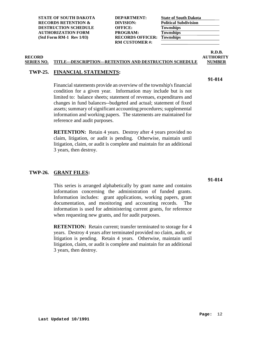| <b>DEPARTMENT:</b>     |
|------------------------|
| DIVISION:              |
| <b>OFFICE:</b>         |
| PROGRAM:               |
| <b>RECORDS OFFICER</b> |
| <b>RM CUSTOMER #:</b>  |
|                        |

| <b>State of South Dakota</b> |  |
|------------------------------|--|
| <b>Political Subdivision</b> |  |
| <b>Townships</b>             |  |
| <b>Townships</b>             |  |
| <b>Townships</b>             |  |

### **R.D.B.<br>AUTHORITY RECORD AUTHORITY**

**91-014**

#### **SERIES NO. TITLE---DESCRIPTION---RETENTION AND DESTRUCTION SCHEDULE NUMBER**

### <span id="page-20-0"></span>**TWP-25. FINANCIAL STATEMENTS:**

Financial statements provide an overview of the township's financial condition for a given year. Information may include but is not limited to: balance sheets; statement of revenues, expenditures and changes in fund balances--budgeted and actual; statement of fixed assets; summary of significant accounting procedures; supplemental information and working papers. The statements are maintained for reference and audit purposes.

**RETENTION:** Retain 4 years. Destroy after 4 years provided no claim, litigation, or audit is pending. Otherwise, maintain until litigation, claim, or audit is complete and maintain for an additional 3 years, then destroy.

### <span id="page-20-1"></span>**TWP-26. GRANT FILES:**

This series is arranged alphabetically by grant name and contains information concerning the administration of funded grants. Information includes: grant applications, working papers, grant documentation, and monitoring and accounting records. The information is used for administering current grants, for reference when requesting new grants, and for audit purposes.

**RETENTION:** Retain current; transfer terminated to storage for 4 years. Destroy 4 years after terminated provided no claim, audit, or litigation is pending. Retain 4 years. Otherwise, maintain until litigation, claim, or audit is complete and maintain for an additional 3 years, then destroy.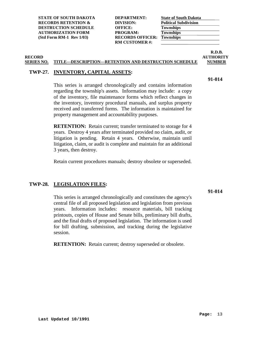| <b>DEPARTMENT:</b>     |
|------------------------|
| DIVISION:              |
| <b>OFFICE:</b>         |
| PROGRAM:               |
| <b>RECORDS OFFICER</b> |
| <b>RM CUSTOMER#:</b>   |
|                        |

|                  | <b>State of South Dakota</b> |  |
|------------------|------------------------------|--|
|                  | <b>Political Subdivision</b> |  |
| <b>Townships</b> |                              |  |
| <b>Townships</b> |                              |  |
| <b>Townships</b> |                              |  |

### **R.D.B.<br>AUTHORITY RECORD AUTHORITY**

**91-014**

#### **SERIES NO. TITLE---DESCRIPTION---RETENTION AND DESTRUCTION SCHEDULE NUMBER**

### <span id="page-21-0"></span>**TWP-27. INVENTORY, CAPITAL ASSETS:**

This series is arranged chronologically and contains information regarding the township's assets. Information may include: a copy of the inventory, file maintenance forms which reflect changes in the inventory, inventory procedural manuals, and surplus property received and transferred forms. The information is maintained for property management and accountability purposes.

**RETENTION:** Retain current; transfer terminated to storage for 4 years. Destroy 4 years after terminated provided no claim, audit, or litigation is pending. Retain 4 years. Otherwise, maintain until litigation, claim, or audit is complete and maintain for an additional 3 years, then destroy.

Retain current procedures manuals; destroy obsolete or superseded.

### <span id="page-21-1"></span>**TWP-28. LEGISLATION FILES:**

This series is arranged chronologically and constitutes the agency's central file of all proposed legislation and legislation from previous years. Information includes: resource materials, bill tracking printouts, copies of House and Senate bills, preliminary bill drafts, and the final drafts of proposed legislation. The information is used for bill drafting, submission, and tracking during the legislative session.

**RETENTION:** Retain current; destroy superseded or obsolete.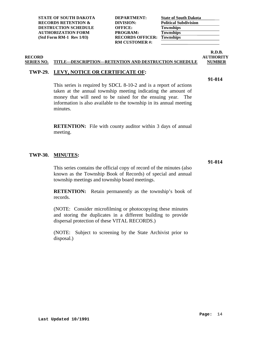| <b>STATE OF SOUTH DAKOTA</b>   | <b>DEPARTMENT:</b>      | <b>State of South Dakota</b> |
|--------------------------------|-------------------------|------------------------------|
| <b>RECORDS RETENTION &amp;</b> | DIVISION:               | <b>Political Subdivision</b> |
| <b>DESTRUCTION SCHEDULE</b>    | <b>OFFICE:</b>          | <b>Townships</b>             |
| <b>AUTHORIZATION FORM</b>      | PROGRAM:                | <b>Townships</b>             |
| (Std Form RM-1 Rev 1/03)       | <b>RECORDS OFFICER:</b> | <b>Townships</b>             |
|                                | <b>RM CUSTOMER#:</b>    |                              |
|                                |                         |                              |

### **SERIES NO. TITLE---DESCRIPTION---RETENTION AND DESTRUCTION SCHEDULE NUMBER**

### <span id="page-22-0"></span>**TWP-29. LEVY, NOTICE OR CERTIFICATE OF:**

This series is required by SDCL 8-10-2 and is a report of actions taken at the annual township meeting indicating the amount of money that will need to be raised for the ensuing year. The information is also available to the township in its annual meeting minutes.

**RETENTION:** File with county auditor within 3 days of annual meeting.

#### <span id="page-22-1"></span>**TWP-30. MINUTES:**

This series contains the official copy of record of the minutes (also known as the Township Book of Records) of special and annual township meetings and township board meetings.

**RETENTION:** Retain permanently as the township's book of records.

(NOTE: Consider microfilming or photocopying these minutes and storing the duplicates in a different building to provide dispersal protection of these VITAL RECORDS.)

(NOTE: Subject to screening by the State Archivist prior to disposal.)

**91-014**

**Page:** 14

**91-014**

**RECORD AUTHORITY**

**R.D.B.**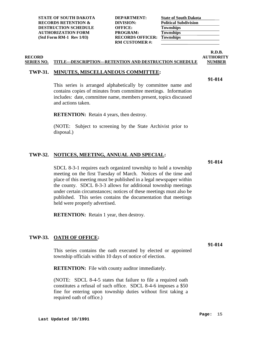**STATE OF SOUTH DAKOTA DEPARTMENT: RECORDS RETENTION & DIVISION DESTRUCTION SCHEDULE** (**OFFICE: OFFICE: OFFICE: T AUTHORIZATION FORM (Std Form RM-1 Rev 1/03)** F

| <b>DEPARTMENT:</b>      | <b>Sta</b> |
|-------------------------|------------|
| DIVISION:               | Po         |
| OFFICE:                 | Tо         |
| <b>PROGRAM:</b>         | To         |
| <b>RECORDS OFFICER:</b> | Tо         |
| <b>RM CUSTOMER #:</b>   |            |
|                         |            |

| <b>State of South Dakota</b> |  |
|------------------------------|--|
| <b>Political Subdivision</b> |  |
| <b>Townships</b>             |  |
| <b>Townships</b>             |  |
| <b>Townships</b>             |  |

### **SERIES NO. TITLE---DESCRIPTION---RETENTION AND DESTRUCTION SCHEDULE NUMBER**

### <span id="page-23-0"></span>**TWP-31. MINUTES, MISCELLANEOUS COMMITTEE:**

This series is arranged alphabetically by committee name and contains copies of minutes from committee meetings. Information includes: date, committee name, members present, topics discussed and actions taken.

**RETENTION:** Retain 4 years, then destroy.

(NOTE: Subject to screening by the State Archivist prior to disposal.)

#### <span id="page-23-1"></span>**TWP-32. NOTICES, MEETING, ANNUAL AND SPECIAL:**

**91-014**

**91-014**

SDCL 8-3-1 requires each organized township to hold a township meeting on the first Tuesday of March. Notices of the time and place of this meeting must be published in a legal newspaper within the county. SDCL 8-3-3 allows for additional township meetings under certain circumstances; notices of these meetings must also be published. This series contains the documentation that meetings held were properly advertised.

**RETENTION:** Retain 1 year, then destroy.

#### <span id="page-23-2"></span>**TWP-33. OATH OF OFFICE:**

This series contains the oath executed by elected or appointed township officials within 10 days of notice of election.

**RETENTION:** File with county auditor immediately.

(NOTE: SDCL 8-4-5 states that failure to file a required oath constitutes a refusal of such office. SDCL 8-4-6 imposes a \$50 fine for entering upon township duties without first taking a required oath of office.)

### **R.D.B. RECORD AUTHORITY**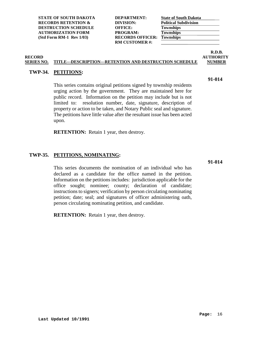**STATE OF SOUTH DAKOTA DEPARTMENT: RECORDS RETENTION & DIVISION DESTRUCTION SCHEDULE OFFICE: Townships AUTHORIZATION FORM (Std Form RM-1 Rev 1/03) RE** 

| <b>DEPARTMENT:</b>      | St |
|-------------------------|----|
| DIVISION:               | Po |
| <b>OFFICE:</b>          | Тo |
| <b>PROGRAM:</b>         | To |
| <b>RECORDS OFFICER:</b> | Tо |
| <b>RM CUSTOMER #:</b>   |    |
|                         |    |

| <b>State of South Dakota</b> |  |
|------------------------------|--|
| <b>Political Subdivision</b> |  |
| <b>Townships</b>             |  |
| <b>Townships</b>             |  |
| <b>Townships</b>             |  |

#### **R.D.B. RECORD AUTHORITY SERIES NO. TITLE---DESCRIPTION---RETENTION AND DESTRUCTION SCHEDULE NUMBER**

### <span id="page-24-0"></span>**TWP-34. PETITIONS:**

This series contains original petitions signed by township residents urging action by the government. They are maintained here for public record. Information on the petition may include but is not limited to: resolution number, date, signature, description of property or action to be taken, and Notary Public seal and signature. The petitions have little value after the resultant issue has been acted upon.

**RETENTION:** Retain 1 year, then destroy.

### <span id="page-24-1"></span>**TWP-35. PETITIONS, NOMINATING:**

This series documents the nomination of an individual who has declared as a candidate for the office named in the petition. Information on the petitions includes: jurisdiction applicable for the office sought; nominee; county; declaration of candidate; instructions to signers; verification by person circulating nominating petition; date; seal; and signatures of officer administering oath, person circulating nominating petition, and candidate.

**RETENTION:** Retain 1 year, then destroy.

**91-014**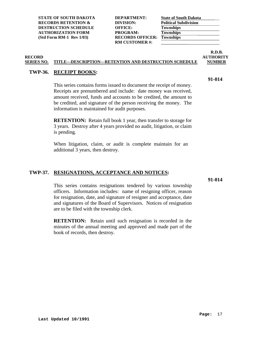| <b>DEPARTMENT:</b>      |
|-------------------------|
| DIVISION:               |
| <b>OFFICE:</b>          |
| PROGRAM:                |
| <b>RECORDS OFFICER:</b> |
| <b>RM CUSTOMER#:</b>    |
|                         |

| <b>State of South Dakota</b> |  |
|------------------------------|--|
| <b>Political Subdivision</b> |  |
| <b>Townships</b>             |  |
| <b>Townships</b>             |  |
| <b>Townships</b>             |  |

### **R.D.B.<br>AUTHORITY RECORD AUTHORITY**

**91-014**

### **SERIES NO. TITLE---DESCRIPTION---RETENTION AND DESTRUCTION SCHEDULE NUMBER**

### <span id="page-25-0"></span>**TWP-36. RECEIPT BOOKS:**

This series contains forms issued to document the receipt of money. Receipts are prenumbered and include: date money was received, amount received, funds and accounts to be credited, the amount to be credited, and signature of the person receiving the money. The information is maintained for audit purposes.

**RETENTION:** Retain full book 1 year, then transfer to storage for 3 years. Destroy after 4 years provided no audit, litigation, or claim is pending.

When litigation, claim, or audit is complete maintain for an additional 3 years, then destroy.

#### <span id="page-25-1"></span>**TWP-37. RESIGNATIONS, ACCEPTANCE AND NOTICES:**

**91-014**

This series contains resignations tendered by various township officers. Information includes: name of resigning officer, reason for resignation, date, and signature of resigner and acceptance, date and signatures of the Board of Supervisors. Notices of resignation are to be filed with the township clerk.

**RETENTION:** Retain until such resignation is recorded in the minutes of the annual meeting and approved and made part of the book of records, then destroy.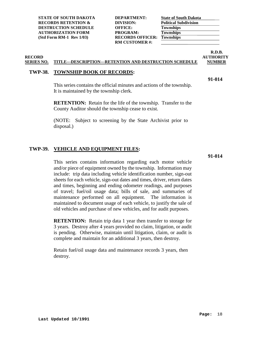| <b>DEPARTMENT:</b>      |
|-------------------------|
| DIVISION:               |
| <b>OFFICE:</b>          |
| PROGRAM:                |
| <b>RECORDS OFFICER:</b> |
| <b>RM CUSTOMER#:</b>    |
|                         |

|                              | <b>State of South Dakota</b> |  |
|------------------------------|------------------------------|--|
| <b>Political Subdivision</b> |                              |  |
| <b>Townships</b>             |                              |  |
| <b>Townships</b>             |                              |  |
| <b>Townships</b>             |                              |  |

### **R.D.B. RECORD AUTHORITY**

### **SERIES NO. TITLE---DESCRIPTION---RETENTION AND DESTRUCTION SCHEDULE NUMBER**

#### <span id="page-26-0"></span>**TWP-38. TOWNSHIP BOOK OF RECORDS:**

**91-014**

This series contains the official minutes and actions of the township. It is maintained by the township clerk.

**RETENTION:** Retain for the life of the township. Transfer to the County Auditor should the township cease to exist.

(NOTE: Subject to screening by the State Archivist prior to disposal.)

### <span id="page-26-1"></span>**TWP-39. VEHICLE AND EQUIPMENT FILES:**

**91-014**

This series contains information regarding each motor vehicle and/or piece of equipment owned by the township. Information may include: trip data including vehicle identification number, sign-out sheets for each vehicle, sign-out dates and times, driver, return dates and times, beginning and ending odometer readings, and purposes of travel; fuel/oil usage data; bills of sale, and summaries of maintenance performed on all equipment. The information is maintained to document usage of each vehicle, to justify the sale of old vehicles and purchase of new vehicles, and for audit purposes.

**RETENTION:** Retain trip data 1 year then transfer to storage for 3 years. Destroy after 4 years provided no claim, litigation, or audit is pending. Otherwise, maintain until litigation, claim, or audit is complete and maintain for an additional 3 years, then destroy.

Retain fuel/oil usage data and maintenance records 3 years, then destroy.